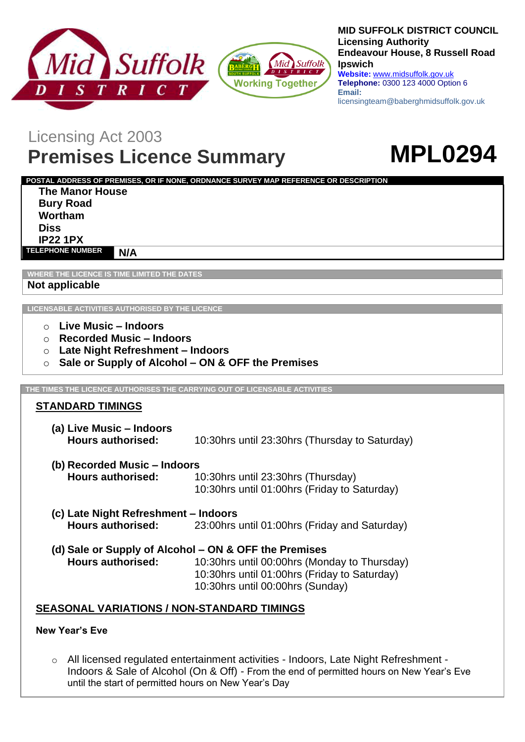



#### **MID SUFFOLK DISTRICT COUNCIL Licensing Authority Endeavour House, 8 Russell Road Ipswich**

**Website:** www.midsuffolk.gov.uk **Telephone:** 0300 123 4000 Option 6 **Email:**  licensingteam@baberghmidsuffolk.gov.uk

## Licensing Act 2003

# **Premises Licence Summary MPL0294**



**POSTAL ADDRESS OF PREMISES, OR IF NONE, ORDNANCE SURVEY MAP REFERENCE OR DESCRIPTION The Manor House Bury Road Wortham**

**Diss IP22 1PX**

**TELEPHONE NUMBER N/A**

**WHERE THE LICENCE IS TIME LIMITED THE DATES**

**Not applicable**

**LICENSABLE ACTIVITIES AUTHORISED BY THE LICENCE**

- o **Live Music – Indoors**
- o **Recorded Music – Indoors**
- o **Late Night Refreshment – Indoors**
- o **Sale or Supply of Alcohol – ON & OFF the Premises**

**THE TIMES THE LICENCE AUTHORISES THE CARRYING OUT OF LICENSABLE ACTIVITIES**

## **STANDARD TIMINGS**

- **(a) Live Music – Indoors Hours authorised:** 10:30hrs until 23:30hrs (Thursday to Saturday)
- **(b) Recorded Music – Indoors Hours authorised:** 10:30hrs until 23:30hrs (Thursday) 10:30hrs until 01:00hrs (Friday to Saturday)
- **(c) Late Night Refreshment – Indoors Hours authorised:** 23:00hrs until 01:00hrs (Friday and Saturday)
- **(d) Sale or Supply of Alcohol – ON & OFF the Premises Hours authorised:** 10:30hrs until 00:00hrs (Monday to Thursday) 10:30hrs until 01:00hrs (Friday to Saturday) 10:30hrs until 00:00hrs (Sunday)

## **SEASONAL VARIATIONS / NON-STANDARD TIMINGS**

## **New Year's Eve**

o All licensed regulated entertainment activities - Indoors, Late Night Refreshment - Indoors & Sale of Alcohol (On & Off) - From the end of permitted hours on New Year's Eve until the start of permitted hours on New Year's Day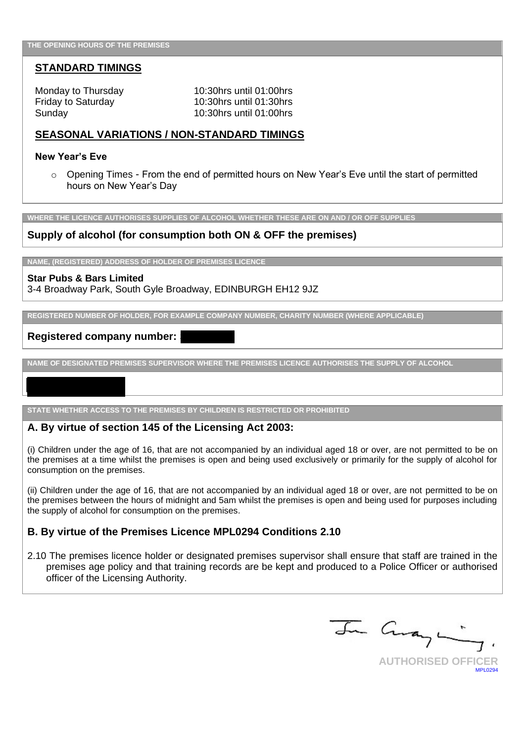#### **STANDARD TIMINGS**

Monday to Thursday 10:30hrs until 01:00hrs Friday to Saturday 10:30hrs until 01:30hrs Sunday 10:30hrs until 01:00hrs

#### **SEASONAL VARIATIONS / NON-STANDARD TIMINGS**

#### **New Year's Eve**

o Opening Times - From the end of permitted hours on New Year's Eve until the start of permitted hours on New Year's Day

**WHERE THE LICENCE AUTHORISES SUPPLIES OF ALCOHOL WHETHER THESE ARE ON AND / OR OFF SUPPLIES**

#### **Supply of alcohol (for consumption both ON & OFF the premises)**

**NAME, (REGISTERED) ADDRESS OF HOLDER OF PREMISES LICENCE**

#### **Star Pubs & Bars Limited**

3-4 Broadway Park, South Gyle Broadway, EDINBURGH EH12 9JZ

**REGISTERED NUMBER OF HOLDER, FOR EXAMPLE COMPANY NUMBER, CHARITY NUMBER (WHERE APPLICABLE)**

#### **Registered company number:**

**NAME OF DESIGNATED PREMISES SUPERVISOR WHERE THE PREMISES LICENCE AUTHORISES THE SUPPLY OF ALCOHOL**

**STATE WHETHER ACCESS TO THE PREMISES BY CHILDREN IS RESTRICTED OR PROHIBITED**

#### **A. By virtue of section 145 of the Licensing Act 2003:**

(i) Children under the age of 16, that are not accompanied by an individual aged 18 or over, are not permitted to be on the premises at a time whilst the premises is open and being used exclusively or primarily for the supply of alcohol for consumption on the premises.

(ii) Children under the age of 16, that are not accompanied by an individual aged 18 or over, are not permitted to be on the premises between the hours of midnight and 5am whilst the premises is open and being used for purposes including the supply of alcohol for consumption on the premises.

#### **B. By virtue of the Premises Licence MPL0294 Conditions 2.10**

2.10 The premises licence holder or designated premises supervisor shall ensure that staff are trained in the premises age policy and that training records are be kept and produced to a Police Officer or authorised officer of the Licensing Authority.

In Curange **AUTHORISED OFFICER**

MPL0204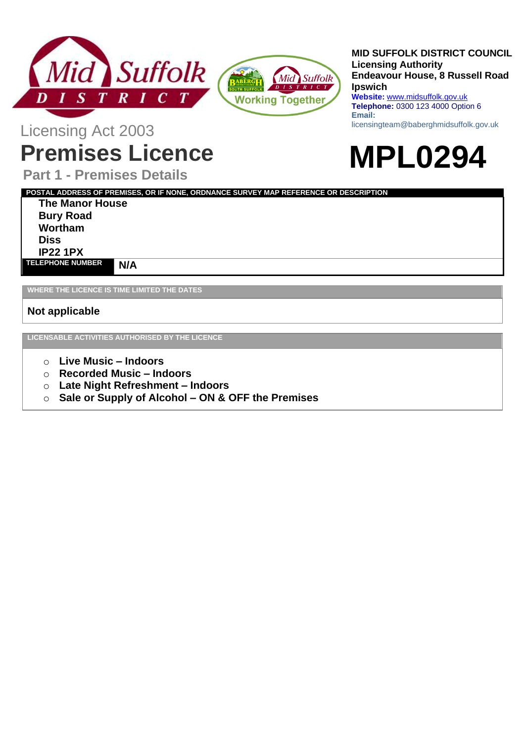



#### **MID SUFFOLK DISTRICT COUNCIL Licensing Authority Endeavour House, 8 Russell Road Ipswich Website:** www.midsuffolk.gov.uk **Telephone:** 0300 123 4000 Option 6

**Email:**  licensingteam@baberghmidsuffolk.gov.uk

**MPL0294**

Licensing Act 2003

# **Premises Licence**

**Part 1 - Premises Details**

**POSTAL ADDRESS OF PREMISES, OR IF NONE, ORDNANCE SURVEY MAP REFERENCE OR DESCRIPTION**

**The Manor House Bury Road Wortham Diss IP22 1PX TELEPHONE NUMBER N/A**

**WHERE THE LICENCE IS TIME LIMITED THE DATES**

**Not applicable**

**LICENSABLE ACTIVITIES AUTHORISED BY THE LICENCE**

- o **Live Music – Indoors**
- o **Recorded Music – Indoors**
- o **Late Night Refreshment – Indoors**
- o **Sale or Supply of Alcohol – ON & OFF the Premises**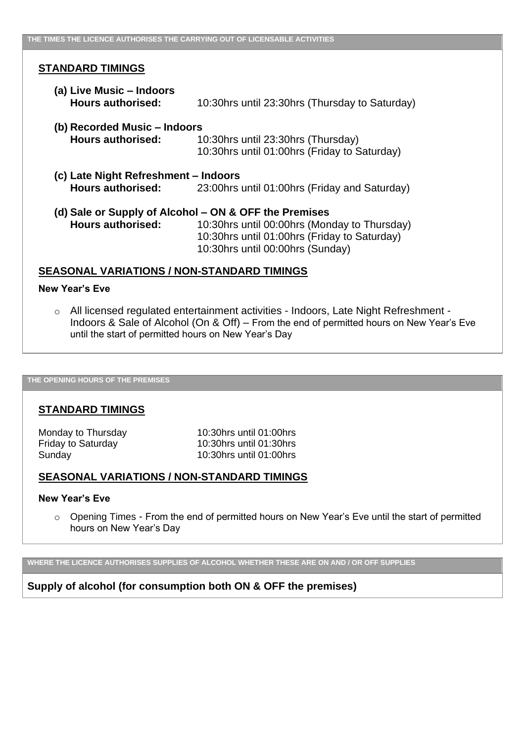#### **STANDARD TIMINGS**

- **(a) Live Music – Indoors Hours authorised:** 10:30hrs until 23:30hrs (Thursday to Saturday)
- **(b) Recorded Music – Indoors Hours authorised:** 10:30hrs until 23:30hrs (Thursday) 10:30hrs until 01:00hrs (Friday to Saturday)
- **(c) Late Night Refreshment – Indoors Hours authorised:** 23:00hrs until 01:00hrs (Friday and Saturday)
- **(d) Sale or Supply of Alcohol – ON & OFF the Premises Hours authorised:** 10:30hrs until 00:00hrs (Monday to Thursday) 10:30hrs until 01:00hrs (Friday to Saturday) 10:30hrs until 00:00hrs (Sunday)

#### **SEASONAL VARIATIONS / NON-STANDARD TIMINGS**

#### **New Year's Eve**

o All licensed regulated entertainment activities - Indoors, Late Night Refreshment - Indoors & Sale of Alcohol (On & Off) – From the end of permitted hours on New Year's Eve until the start of permitted hours on New Year's Day

#### **THE OPENING HOURS OF THE PREMISES**

#### **STANDARD TIMINGS**

Monday to Thursday 10:30hrs until 01:00hrs Friday to Saturday 10:30hrs until 01:30hrs Sunday 10:30hrs until 01:00hrs

#### **SEASONAL VARIATIONS / NON-STANDARD TIMINGS**

#### **New Year's Eve**

o Opening Times - From the end of permitted hours on New Year's Eve until the start of permitted hours on New Year's Day

**WHERE THE LICENCE AUTHORISES SUPPLIES OF ALCOHOL WHETHER THESE ARE ON AND / OR OFF SUPPLIES**

#### **Supply of alcohol (for consumption both ON & OFF the premises)**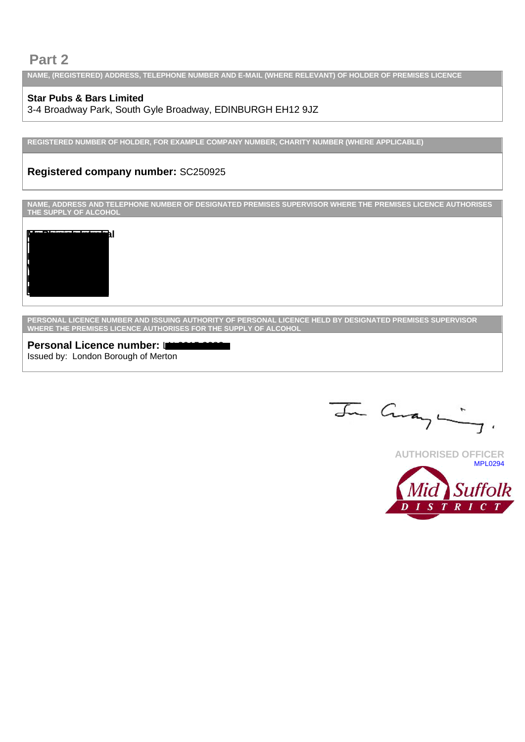## **Part 2**

**NAME, (REGISTERED) ADDRESS, TELEPHONE NUMBER AND E-MAIL (WHERE RELEVANT) OF HOLDER OF PREMISES LICENCE**

## **Star Pubs & Bars Limited**

3-4 Broadway Park, South Gyle Broadway, EDINBURGH EH12 9JZ

**REGISTERED NUMBER OF HOLDER, FOR EXAMPLE COMPANY NUMBER, CHARITY NUMBER (WHERE APPLICABLE)**

## **Registered company number:** SC250925

**NAME, ADDRESS AND TELEPHONE NUMBER OF DESIGNATED PREMISES SUPERVISOR WHERE THE PREMISES LICENCE AUTHORISES THE SUPPLY OF ALCOHOL**



**PERSONAL LICENCE NUMBER AND ISSUING AUTHORITY OF PERSONAL LICENCE HELD BY DESIGNATED PREMISES SUPERVISOR WHERE THE PREMISES LICENCE AUTHORISES FOR THE SUPPLY OF ALCOHOL**

**Personal Licence number:** Language Issued by: London Borough of Merton

In Curange

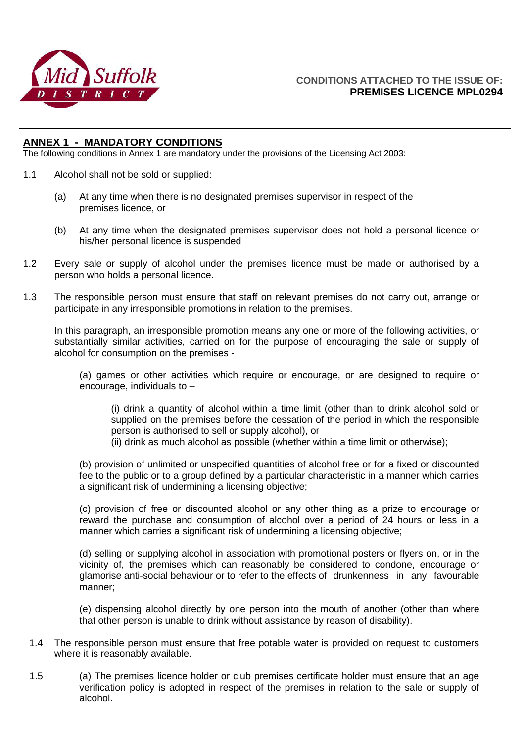

#### **ANNEX 1 - MANDATORY CONDITIONS**

The following conditions in Annex 1 are mandatory under the provisions of the Licensing Act 2003:

- 1.1 Alcohol shall not be sold or supplied:
	- (a) At any time when there is no designated premises supervisor in respect of the premises licence, or
	- (b) At any time when the designated premises supervisor does not hold a personal licence or his/her personal licence is suspended
- 1.2 Every sale or supply of alcohol under the premises licence must be made or authorised by a person who holds a personal licence.
- 1.3 The responsible person must ensure that staff on relevant premises do not carry out, arrange or participate in any irresponsible promotions in relation to the premises.

In this paragraph, an irresponsible promotion means any one or more of the following activities, or substantially similar activities, carried on for the purpose of encouraging the sale or supply of alcohol for consumption on the premises -

(a) games or other activities which require or encourage, or are designed to require or encourage, individuals to –

(i) drink a quantity of alcohol within a time limit (other than to drink alcohol sold or supplied on the premises before the cessation of the period in which the responsible person is authorised to sell or supply alcohol), or

(ii) drink as much alcohol as possible (whether within a time limit or otherwise);

(b) provision of unlimited or unspecified quantities of alcohol free or for a fixed or discounted fee to the public or to a group defined by a particular characteristic in a manner which carries a significant risk of undermining a licensing objective;

(c) provision of free or discounted alcohol or any other thing as a prize to encourage or reward the purchase and consumption of alcohol over a period of 24 hours or less in a manner which carries a significant risk of undermining a licensing objective;

(d) selling or supplying alcohol in association with promotional posters or flyers on, or in the vicinity of, the premises which can reasonably be considered to condone, encourage or glamorise anti-social behaviour or to refer to the effects of drunkenness in any favourable manner;

(e) dispensing alcohol directly by one person into the mouth of another (other than where that other person is unable to drink without assistance by reason of disability).

- 1.4 The responsible person must ensure that free potable water is provided on request to customers where it is reasonably available.
- 1.5 (a) The premises licence holder or club premises certificate holder must ensure that an age verification policy is adopted in respect of the premises in relation to the sale or supply of alcohol.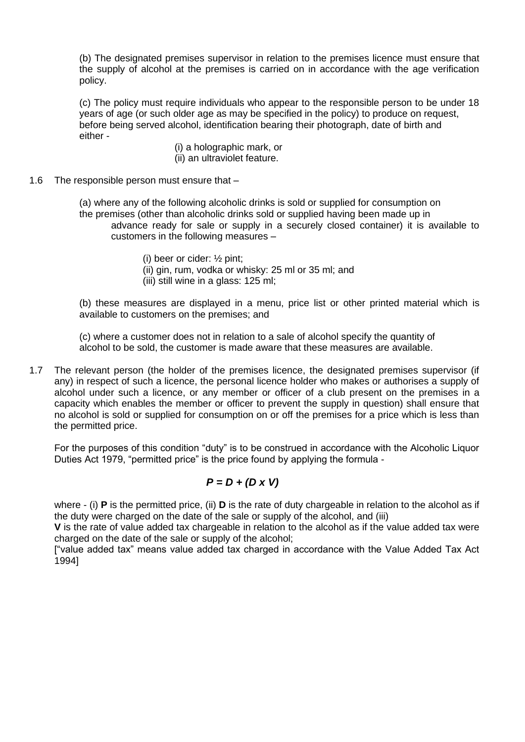(b) The designated premises supervisor in relation to the premises licence must ensure that the supply of alcohol at the premises is carried on in accordance with the age verification policy.

(c) The policy must require individuals who appear to the responsible person to be under 18 years of age (or such older age as may be specified in the policy) to produce on request, before being served alcohol, identification bearing their photograph, date of birth and either -

- (i) a holographic mark, or (ii) an ultraviolet feature.
- 1.6 The responsible person must ensure that –

(a) where any of the following alcoholic drinks is sold or supplied for consumption on the premises (other than alcoholic drinks sold or supplied having been made up in advance ready for sale or supply in a securely closed container) it is available to customers in the following measures –

- (i) beer or cider: ½ pint;
- (ii) gin, rum, vodka or whisky: 25 ml or 35 ml; and
- (iii) still wine in a glass: 125 ml;

(b) these measures are displayed in a menu, price list or other printed material which is available to customers on the premises; and

(c) where a customer does not in relation to a sale of alcohol specify the quantity of alcohol to be sold, the customer is made aware that these measures are available.

1.7 The relevant person (the holder of the premises licence, the designated premises supervisor (if any) in respect of such a licence, the personal licence holder who makes or authorises a supply of alcohol under such a licence, or any member or officer of a club present on the premises in a capacity which enables the member or officer to prevent the supply in question) shall ensure that no alcohol is sold or supplied for consumption on or off the premises for a price which is less than the permitted price.

For the purposes of this condition "duty" is to be construed in accordance with the Alcoholic Liquor Duties Act 1979, "permitted price" is the price found by applying the formula -

## *P = D + (D x V)*

where - (i) **P** is the permitted price, (ii) **D** is the rate of duty chargeable in relation to the alcohol as if the duty were charged on the date of the sale or supply of the alcohol, and (iii)

**V** is the rate of value added tax chargeable in relation to the alcohol as if the value added tax were charged on the date of the sale or supply of the alcohol;

["value added tax" means value added tax charged in accordance with the Value Added Tax Act 1994]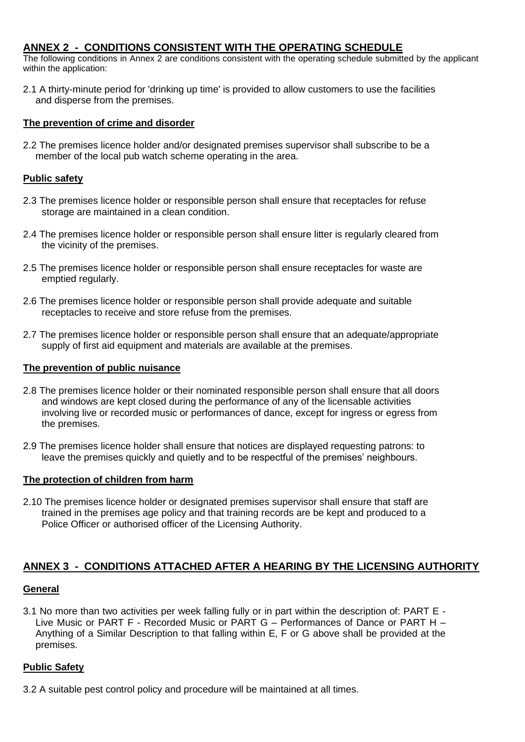## **ANNEX 2 - CONDITIONS CONSISTENT WITH THE OPERATING SCHEDULE**

The following conditions in Annex 2 are conditions consistent with the operating schedule submitted by the applicant within the application:

2.1 A thirty-minute period for 'drinking up time' is provided to allow customers to use the facilities and disperse from the premises.

#### **The prevention of crime and disorder**

2.2 The premises licence holder and/or designated premises supervisor shall subscribe to be a member of the local pub watch scheme operating in the area.

#### **Public safety**

- 2.3 The premises licence holder or responsible person shall ensure that receptacles for refuse storage are maintained in a clean condition.
- 2.4 The premises licence holder or responsible person shall ensure litter is regularly cleared from the vicinity of the premises.
- 2.5 The premises licence holder or responsible person shall ensure receptacles for waste are emptied regularly.
- 2.6 The premises licence holder or responsible person shall provide adequate and suitable receptacles to receive and store refuse from the premises.
- 2.7 The premises licence holder or responsible person shall ensure that an adequate/appropriate supply of first aid equipment and materials are available at the premises.

#### **The prevention of public nuisance**

- 2.8 The premises licence holder or their nominated responsible person shall ensure that all doors and windows are kept closed during the performance of any of the licensable activities involving live or recorded music or performances of dance, except for ingress or egress from the premises.
- 2.9 The premises licence holder shall ensure that notices are displayed requesting patrons: to leave the premises quickly and quietly and to be respectful of the premises' neighbours.

#### **The protection of children from harm**

2.10 The premises licence holder or designated premises supervisor shall ensure that staff are trained in the premises age policy and that training records are be kept and produced to a Police Officer or authorised officer of the Licensing Authority.

## **ANNEX 3 - CONDITIONS ATTACHED AFTER A HEARING BY THE LICENSING AUTHORITY**

#### **General**

3.1 No more than two activities per week falling fully or in part within the description of: PART E - Live Music or PART F - Recorded Music or PART G – Performances of Dance or PART H – Anything of a Similar Description to that falling within E, F or G above shall be provided at the premises.

#### **Public Safety**

3.2 A suitable pest control policy and procedure will be maintained at all times.